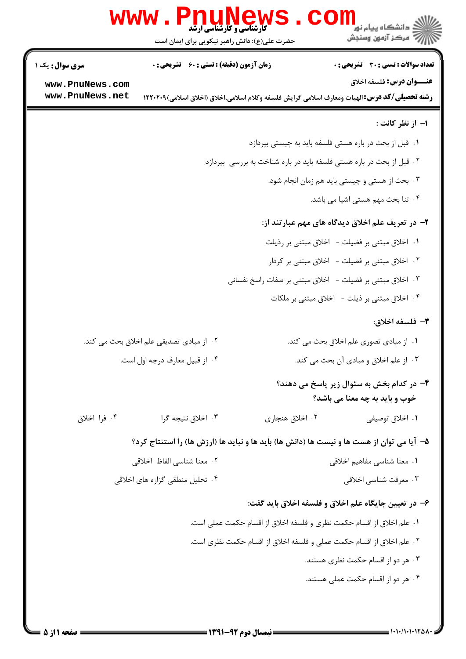| زمان آزمون (دقیقه) : تستی : 60 ٪ تشریحی : 0<br><b>سری سوال :</b> یک ۱<br><b>عنـــوان درس:</b> فلسفه اخلاق<br>www.PnuNews.com<br>www.PnuNews.net<br><b>رشته تحصیلی/کد درس: ا</b> لهیات ومعارف اسلامی گرایش فلسفه وکلام اسلامی،اخلاق (اخلاق اسلامی)۲۲۰۲۰۹ ا<br>٠١ قبل از بحث در باره هستى فلسفه بايد به چيستى بپردازد<br>۰۲ قبل از بحث در باره هستی فلسفه باید در باره شناخت به بررسی بپردازد<br>۰۳ اخلاق مبتنی بر فضیلت - اخلاق مبتنی بر صفات راسخ نفسانی<br>۰۲ از مبادی تصدیقی علم اخلاق بحث می کند.<br>۰۴ از قبیل معارف درجه اول است.<br>۰۴ فرا اخلاق<br>۰۳ اخلاق نتيجه گرا<br>۰۲ اخلاق هنجاري<br>۵– آیا می توان از هست ها و نیست ها (دانش ها) باید ها و نباید ها (ارزش ها) را استنتاج کرد؟<br>٠٢ معنا شناسي الفاظ اخلاقي<br>۰۴ تحلیل منطقی گزاره های اخلاقی<br>۶– در تعیین جایگاه علم اخلاق و فلسفه اخلاق باید گفت: | WWW . PILUNGW<br>حضرت علی(ع): دانش راهبر نیکویی برای ایمان است | ڪ دانشڪاه پيا <sub>م</sub> نور<br>7- مرڪز آزمون وسنڊش                       |  |
|-----------------------------------------------------------------------------------------------------------------------------------------------------------------------------------------------------------------------------------------------------------------------------------------------------------------------------------------------------------------------------------------------------------------------------------------------------------------------------------------------------------------------------------------------------------------------------------------------------------------------------------------------------------------------------------------------------------------------------------------------------------------------------------------------------------------------|----------------------------------------------------------------|-----------------------------------------------------------------------------|--|
|                                                                                                                                                                                                                                                                                                                                                                                                                                                                                                                                                                                                                                                                                                                                                                                                                       |                                                                | <b>تعداد سوالات : تستی : 30 ٪ تشریحی : 0</b>                                |  |
|                                                                                                                                                                                                                                                                                                                                                                                                                                                                                                                                                                                                                                                                                                                                                                                                                       |                                                                |                                                                             |  |
|                                                                                                                                                                                                                                                                                                                                                                                                                                                                                                                                                                                                                                                                                                                                                                                                                       |                                                                | ۱- از نظر کانت :                                                            |  |
|                                                                                                                                                                                                                                                                                                                                                                                                                                                                                                                                                                                                                                                                                                                                                                                                                       |                                                                |                                                                             |  |
|                                                                                                                                                                                                                                                                                                                                                                                                                                                                                                                                                                                                                                                                                                                                                                                                                       |                                                                |                                                                             |  |
|                                                                                                                                                                                                                                                                                                                                                                                                                                                                                                                                                                                                                                                                                                                                                                                                                       |                                                                | ۰۳ بحث از هستی و چیستی باید هم زمان انجام شود.                              |  |
|                                                                                                                                                                                                                                                                                                                                                                                                                                                                                                                                                                                                                                                                                                                                                                                                                       |                                                                | ۰۴ تنا بحث مهم هستی اشیا می باشد.                                           |  |
|                                                                                                                                                                                                                                                                                                                                                                                                                                                                                                                                                                                                                                                                                                                                                                                                                       |                                                                | ۲- در تعریف علم اخلاق دیدگاه های مهم عبارتند از:                            |  |
|                                                                                                                                                                                                                                                                                                                                                                                                                                                                                                                                                                                                                                                                                                                                                                                                                       |                                                                | ۰۱ اخلاق مبتنی بر فضیلت - اخلاق مبتنی بر رذیلت                              |  |
|                                                                                                                                                                                                                                                                                                                                                                                                                                                                                                                                                                                                                                                                                                                                                                                                                       |                                                                | ۰۲ اخلاق مبتنی بر فضیلت - اخلاق مبتنی بر کردار                              |  |
|                                                                                                                                                                                                                                                                                                                                                                                                                                                                                                                                                                                                                                                                                                                                                                                                                       |                                                                |                                                                             |  |
|                                                                                                                                                                                                                                                                                                                                                                                                                                                                                                                                                                                                                                                                                                                                                                                                                       |                                                                | ۰۴ اخلاق مبتنی بر ذیلت - اخلاق مبتنی بر ملکات                               |  |
|                                                                                                                                                                                                                                                                                                                                                                                                                                                                                                                                                                                                                                                                                                                                                                                                                       |                                                                | ٣- فلسفه اخلاق:                                                             |  |
|                                                                                                                                                                                                                                                                                                                                                                                                                                                                                                                                                                                                                                                                                                                                                                                                                       |                                                                | ۰۱ از مبادی تصوری علم اخلاق بحث می کند.                                     |  |
|                                                                                                                                                                                                                                                                                                                                                                                                                                                                                                                                                                                                                                                                                                                                                                                                                       |                                                                | ۰۳ از علم اخلاق و مبادی آن بحث می کند.                                      |  |
|                                                                                                                                                                                                                                                                                                                                                                                                                                                                                                                                                                                                                                                                                                                                                                                                                       |                                                                | ۴- در کدام بخش به سئوال زیر پاسخ می دهند؟<br>خوب و باید به چه معنا می باشد؟ |  |
|                                                                                                                                                                                                                                                                                                                                                                                                                                                                                                                                                                                                                                                                                                                                                                                                                       |                                                                | ۰۱ اخلاق توصيفي                                                             |  |
|                                                                                                                                                                                                                                                                                                                                                                                                                                                                                                                                                                                                                                                                                                                                                                                                                       |                                                                |                                                                             |  |
|                                                                                                                                                                                                                                                                                                                                                                                                                                                                                                                                                                                                                                                                                                                                                                                                                       |                                                                | ۰۱ معنا شناسی مفاهیم اخلاقی                                                 |  |
|                                                                                                                                                                                                                                                                                                                                                                                                                                                                                                                                                                                                                                                                                                                                                                                                                       |                                                                | ۰۳ معرفت شناسي اخلاقي                                                       |  |
|                                                                                                                                                                                                                                                                                                                                                                                                                                                                                                                                                                                                                                                                                                                                                                                                                       |                                                                |                                                                             |  |
| ١. علم اخلاق از اقسام حكمت نظرى و فلسفه اخلاق از اقسام حكمت عملي است.                                                                                                                                                                                                                                                                                                                                                                                                                                                                                                                                                                                                                                                                                                                                                 |                                                                |                                                                             |  |
| ٢. علم اخلاق از اقسام حكمت عملى و فلسفه اخلاق از اقسام حكمت نظرى است.                                                                                                                                                                                                                                                                                                                                                                                                                                                                                                                                                                                                                                                                                                                                                 |                                                                |                                                                             |  |
|                                                                                                                                                                                                                                                                                                                                                                                                                                                                                                                                                                                                                                                                                                                                                                                                                       |                                                                | ۰۳ هر دو از اقسام حکمت نظری هستند.                                          |  |
|                                                                                                                                                                                                                                                                                                                                                                                                                                                                                                                                                                                                                                                                                                                                                                                                                       |                                                                | ۰۴ هر دو از اقسام حکمت عملی هستند.                                          |  |
|                                                                                                                                                                                                                                                                                                                                                                                                                                                                                                                                                                                                                                                                                                                                                                                                                       |                                                                |                                                                             |  |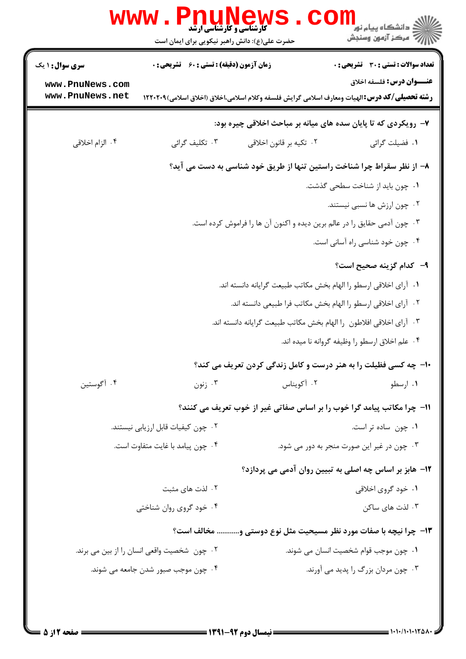|                                    | www.Pnul<br><b>کارشناسی و کارشناسی ارشد</b><br>حضرت علی(ع): دانش راهبر نیکویی برای ایمان است |                         | ڪ دانشڪاه پيا <sub>م</sub> نور<br>7ء مرڪز آزمون وسنڊش                                                                                      |
|------------------------------------|----------------------------------------------------------------------------------------------|-------------------------|--------------------------------------------------------------------------------------------------------------------------------------------|
| <b>سری سوال : ۱ یک</b>             | <b>زمان آزمون (دقیقه) : تستی : 60 ٪ تشریحی : 0</b>                                           |                         | <b>تعداد سوالات : تستی : 30 ٪ تشریحی : 0</b>                                                                                               |
| www.PnuNews.com<br>www.PnuNews.net |                                                                                              |                         | <b>عنـــوان درس:</b> فلسفه اخلاق<br><b>رشته تحصیلی/کد درس: ا</b> لهیات ومعارف اسلامی گرایش فلسفه وکلام اسلامی،اخلاق (اخلاق اسلامی)۲۲۰۲۰۹ ا |
|                                    |                                                                                              |                         | ۷- رویکردی که تا پایان سده های میانه بر مباحث اخلاقی چیره بود:                                                                             |
| ۰۴ الزام اخلاقي                    | ۰۳ تکلیف گرائی                                                                               | ۰۲ تکیه بر قانون اخلاقی | ٠١ فضيلت گرائي                                                                                                                             |
|                                    |                                                                                              |                         | ۸– از نظر سقراط چرا شناخت راستین تنها از طریق خود شناسی به دست می آید؟                                                                     |
|                                    |                                                                                              |                         | ٠١ چون بايد از شناخت سطحى گذشت.                                                                                                            |
|                                    |                                                                                              |                         | ۰۲ چون ارزش ها نسبی نیستند.                                                                                                                |
|                                    |                                                                                              |                         | ۰۳ چون آدمی حقایق را در عالم برین دیده و اکنون آن ها را فراموش کرده است.                                                                   |
|                                    |                                                                                              |                         | ۰۴ چون خود شناسی راه آسانی است.                                                                                                            |
|                                    |                                                                                              |                         | <b>۹</b> – کدام گزینه صحیح است؟                                                                                                            |
|                                    |                                                                                              |                         | ٠١ آراي اخلاقي ارسطو را الهام بخش مكاتب طبيعت گرايانه دانسته اند.                                                                          |
|                                    |                                                                                              |                         | ٠٢ آراي اخلاقي ارسطو را الهام بخش مكاتب فرا طبيعي دانسته اند.                                                                              |
|                                    |                                                                                              |                         | ۰۳ آرای اخلاقی افلاطون  را الهام بخش مکاتب طبیعت گرایانه دانسته اند.                                                                       |
|                                    |                                                                                              |                         | ۰۴ علم اخلاق ارسطو را وظیفه گروانه نا میده اند.                                                                                            |
|                                    |                                                                                              |                         | ۱۰- چه کسی فظیلت را به هنر درست و کامل زندگی کردن تعریف می کند؟                                                                            |
| ۰۴ آگوستين                         | ۰۳ زنون                                                                                      | ۰۲ آکویناس              | ۰۱ ارسطو                                                                                                                                   |
|                                    |                                                                                              |                         | 11- چرا مکاتب پیامد گرا خوب را بر اساس صفاتی غیر از خوب تعریف می کنند؟                                                                     |
|                                    | ۰۲ چون کیفیات قابل ارزیابی نیستند.                                                           |                         | ۰۱ چون ساده تر است.                                                                                                                        |
|                                    | ۰۴ چون پیامد با غایت متفاوت است.                                                             |                         | ۰۳ چون در غیر این صورت منجر به دور می شود.                                                                                                 |
|                                    |                                                                                              |                         | ۱۲- هابز بر اساس چه اصلی به تبیین روان آدمی می پردازد؟                                                                                     |
|                                    | ۰۲ لذت های مثبت                                                                              |                         | ۰۱ خود گروی اخلاقی                                                                                                                         |
|                                    | ۰۴ خود گروی روان شناختی                                                                      |                         | ۰۳ لذت های ساکن                                                                                                                            |
|                                    |                                                                                              |                         | ۱۳- چرا نیچه با صفات مورد نظر مسیحیت مثل نوع دوستی و مخالف است؟                                                                            |
|                                    | ۰۲ چون  شخصیت واقعی انسان را از بین می برند.                                                 |                         | ٠١. چون موجب قوام شخصيت انسان مي شوند.                                                                                                     |
|                                    | ۰۴ چون موجب صبور شدن جامعه می شوند.                                                          |                         | ۰۳ چون مردان بزرگ را پدید می آورند.                                                                                                        |
|                                    |                                                                                              |                         |                                                                                                                                            |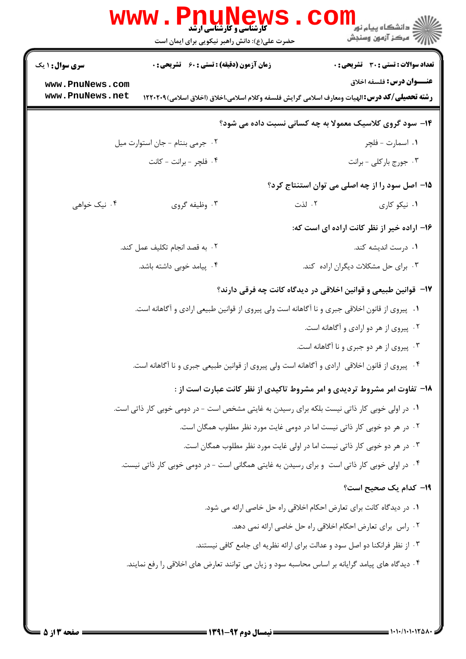|                                    | WWW . PI<br><b>کارشناسی و کارشناسی ارشد</b><br>حضرت علی(ع): دانش راهبر نیکویی برای ایمان است | ڪ دانشڪاه پيا <sub>م</sub> نور<br>7ء مرڪز آزمون وسنڊش                                                                                     |
|------------------------------------|----------------------------------------------------------------------------------------------|-------------------------------------------------------------------------------------------------------------------------------------------|
| <b>سری سوال : ۱ یک</b>             | <b>زمان آزمون (دقیقه) : تستی : 60 ٪ تشریحی : 0</b>                                           | <b>تعداد سوالات : تستی : 30 ٪ تشریحی : 0</b>                                                                                              |
| www.PnuNews.com<br>www.PnuNews.net |                                                                                              | <b>عنـــوان درس:</b> فلسفه اخلاق<br><b>رشته تحصیلی/کد درس:</b> الهیات ومعارف اسلامی گرایش فلسفه وکلام اسلامی،اخلاق (اخلاق اسلامی)۲۲۰۲۰۹ ا |
|                                    |                                                                                              | ۱۴- سود گروی کلاسیک معمولا به چه کسانی نسبت داده می شود؟                                                                                  |
|                                    | ٠٢ جرمى بنتام - جان استوارت ميل                                                              | ۰۱ اسمارت - فلچر                                                                                                                          |
|                                    | ۰۴ فلچر - برانت - کانت                                                                       | ۰۳ جورج باركلي - برانت                                                                                                                    |
|                                    |                                                                                              | 1۵– اصل سود را از چه اصلی می توان استنتاج کرد؟                                                                                            |
| ۰۴ نیک خواهی                       | ۰۳ وظیفه گروی                                                                                | ۰۲ لذت<br>۰۱ نیکو کاری                                                                                                                    |
|                                    |                                                                                              | ۱۶– اراده خیر از نظر کانت اراده ای است که:                                                                                                |
|                                    | ٢. به قصد انجام تكليف عمل كند.                                                               | ۰۱ درست اندیشه کند.                                                                                                                       |
|                                    | ۰۴ پیامد خوبی داشته باشد.                                                                    | ۰۳ برای حل مشکلات دیگران اراده کند.                                                                                                       |
|                                    |                                                                                              | ۱۷– قوانین طبیعی و قوانین اخلاقی در دیدگاه کانت چه فرقی دارند؟                                                                            |
|                                    |                                                                                              | ۰۱   پیروی از قانون اخلاقی جبری و نا آگاهانه است ولی پیروی از قوانین طبیعی ارادی و آگاهانه است.                                           |
|                                    |                                                                                              | ۰۲ پیروی از هر دو ارادی و آگاهانه است.                                                                                                    |
|                                    |                                                                                              | ۰۳ پیروی از هر دو جبری و نا آگاهانه است.                                                                                                  |
|                                    |                                                                                              | ۰۴ پیروی از قانون اخلاقی  ارادی و اگاهانه است ولی پیروی از قوانین طبیعی جبری و نا اگاهانه است.                                            |
|                                    |                                                                                              | <b>۱۸</b> - تفاوت امر مشروط تردیدی و امر مشروط تاکیدی از نظر کانت عبارت است از :                                                          |
|                                    |                                                                                              | ۰۱ در اولی خوبی کار ذاتی نیست بلکه برای رسیدن به غایتی مشخص است - در دومی خوبی کار ذاتی است.                                              |
|                                    |                                                                                              | ۲ . در هر دو خوبی کار ذاتی نیست اما در دومی غایت مورد نظر مطلوب همگان است.                                                                |
|                                    |                                                                                              | ۰۳ در هر دو خوبی کار ذاتی نیست اما در اولی غایت مورد نظر مطلوب همگان است.                                                                 |
|                                    |                                                                                              | ۰۴ در اولی خوبی کار ذاتی است و برای رسیدن به غایتی همگانی است - در دومی خوبی کار ذاتی نیست.                                               |
|                                    |                                                                                              | 1۹– کدام یک صحیح است؟                                                                                                                     |
|                                    |                                                                                              | ٠١ در ديدگاه كانت براي تعارض احكام اخلاقي راه حل خاصي ارائه مي شود.                                                                       |
|                                    |                                                                                              | ٠٢ راس براي تعارض احكام اخلاقي راه حل خاصي ارائه نمي دهد.                                                                                 |
|                                    |                                                                                              | ۰۳ از نظر فرانکنا دو اصل سود و عدالت برای ارائه نظریه ای جامع کافی نیستند.                                                                |
|                                    |                                                                                              | ۰۴ دیدگاه های پیامد گرایانه بر اساس محاسبه سود و زیان می توانند تعارض های اخلاقی را رفع نمایند.                                           |
|                                    |                                                                                              |                                                                                                                                           |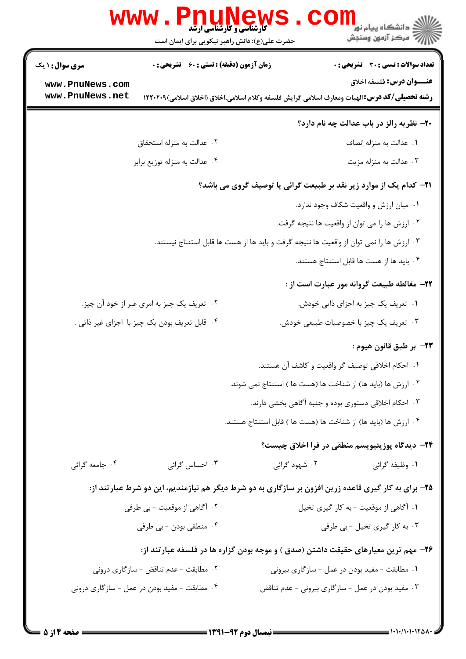|                        | www.PnuNews                                   |               | د دانشکاه پيام نور<br>// مرکز آزمون وسنجش                                                             |
|------------------------|-----------------------------------------------|---------------|-------------------------------------------------------------------------------------------------------|
|                        | حضرت علی(ع): دانش راهبر نیکویی برای ایمان است |               |                                                                                                       |
| <b>سری سوال : ۱ یک</b> | زمان آزمون (دقیقه) : تستی : 60 ٪ تشریحی : 0   |               | <b>تعداد سوالات : تستی : 30 - تشریحی : 0</b>                                                          |
| www.PnuNews.com        |                                               |               | <b>عنـــوان درس:</b> فلسفه اخلاق                                                                      |
| www.PnuNews.net        |                                               |               | <b>رشته تحصیلی/کد درس:</b> الهیات ومعارف اسلامی گرایش فلسفه وکلام اسلامی،اخلاق (اخلاق اسلامی)۲۲۰۲۰۹ ا |
|                        |                                               |               | ۲۰– نظریه رالز در باب عدالت چه نام دارد؟                                                              |
|                        | ۰۲ عدالت به منزله استحقاق                     |               | ٠١. عدالت به منزله انصاف                                                                              |
|                        | ۰۴ عدالت به منزله توزیع برابر                 |               | ۰۳ عدالت به منزله مزيت                                                                                |
|                        |                                               |               | <b>۲۱</b> – کدام یک از موارد زیر نقد بر طبیعت گرائی یا توصیف گروی می باشد؟                            |
|                        |                                               |               | ۰۱ میان ارزش و واقعیت شکاف وجود ندارد.                                                                |
|                        |                                               |               | ۰۲ ارزش ها را می توان از واقعیت ها نتیجه گرفت.                                                        |
|                        |                                               |               | ۰۳ ارزش ها را نمی توان از واقعیت ها نتیجه گرفت و باید ها از هست ها قابل استنتاج نیستند.               |
|                        |                                               |               | ۰۴ باید ها از هست ها قابل استنتاج هستند.                                                              |
|                        |                                               |               | ٢٢- مغالطه طبيعت گروانه مور عبارت است از :                                                            |
|                        | ۰۲ تعریف یک چیز به امری غیر از خود آن چیز.    |               | ۰۱ تعریف یک چیز به اجزای ذاتی خودش.                                                                   |
|                        | ۰۴ قابل تعریف بودن یک چیز با اجزای غیر ذاتی . |               | ۰۳ تعریف یک چیز با خصوصیات طبیعی خودش.                                                                |
|                        |                                               |               | ٢٣- بر طبق قانون هيوم :                                                                               |
|                        |                                               |               | ۰۱ احکام اخلاقی توصیف گر واقعیت و کاشف آن هستند.                                                      |
|                        |                                               |               | ۰۲ ارزش ها (باید ها) از شناخت ها (هست ها ) استنتاج نمی شوند.                                          |
|                        |                                               |               | ۰۳ احکام اخلاقی دستوری بوده و جنبه آگاهی بخشی دارند.                                                  |
|                        |                                               |               | ۰۴ ارزش ها (باید ها) از شناخت ها (هست ها ) قابل استنتاج هستند.                                        |
|                        |                                               |               | ۲۴- دیدگاه پوزیتیویسم منطقی در فرا اخلاق چیست؟                                                        |
| ۰۴ جامعه گرائی         | ۰۳ احساس گرائی                                | ۰۲ شهود گرائی | ۰۱ وظیفه گرائی                                                                                        |
|                        |                                               |               | ۲۵- برای به کار گیری قاعده زرین افزون بر سازگاری به دو شرط دیگر هم نیازمندیم، این دو شرط عبارتند از:  |
|                        | ۲. آگاهی از موقعیت - بی طرفی                  |               | ٠١ آگاهي از موقعيت - به كار گيري تخيل                                                                 |
|                        | ۰۴ منطقی بودن - بی طرفی                       |               | ۰۳ به کار گیری تخیل - بی طرفی                                                                         |
|                        |                                               |               | ۲۶- مهم ترین معیارهای حقیقت داشتن (صدق ) و موجه بودن گزاره ها در فلسفه عبارتند از:                    |
|                        | ۰۲ مطابقت - عدم تناقض - سازگاری درونی         |               | ۰۱ مطابقت – مفید بودن در عمل – سازگاری بیرونی                                                         |
|                        | ۰۴ مطابقت - مفید بودن در عمل - سازگاری درونی  |               | ۰۳ مفید بودن در عمل - سازگاری بیرونی - عدم تناقض                                                      |
|                        |                                               |               |                                                                                                       |